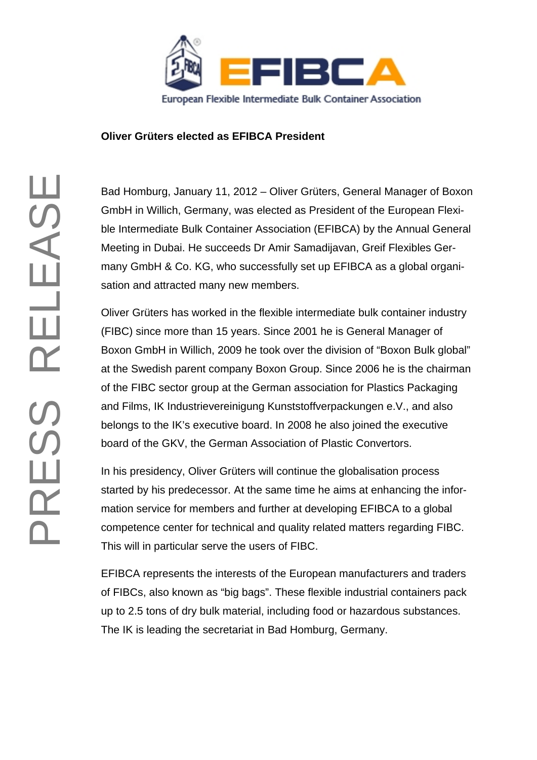

## **Oliver Grüters elected as EFIBCA President**

PRESS RELEASE ┻ ELEAS  $\alpha$  $\frac{1}{\alpha}$ 

Bad Homburg, January 11, 2012 – Oliver Grüters, General Manager of Boxon GmbH in Willich, Germany, was elected as President of the European Flexible Intermediate Bulk Container Association (EFIBCA) by the Annual General Meeting in Dubai. He succeeds Dr Amir Samadijavan, Greif Flexibles Germany GmbH & Co. KG, who successfully set up EFIBCA as a global organisation and attracted many new members.

Oliver Grüters has worked in the flexible intermediate bulk container industry (FIBC) since more than 15 years. Since 2001 he is General Manager of Boxon GmbH in Willich, 2009 he took over the division of "Boxon Bulk global" at the Swedish parent company Boxon Group. Since 2006 he is the chairman of the FIBC sector group at the German association for Plastics Packaging and Films, IK Industrievereinigung Kunststoffverpackungen e.V., and also belongs to the IK's executive board. In 2008 he also joined the executive board of the GKV, the German Association of Plastic Convertors.

In his presidency, Oliver Grüters will continue the globalisation process started by his predecessor. At the same time he aims at enhancing the information service for members and further at developing EFIBCA to a global competence center for technical and quality related matters regarding FIBC. This will in particular serve the users of FIBC.

EFIBCA represents the interests of the European manufacturers and traders of FIBCs, also known as "big bags". These flexible industrial containers pack up to 2.5 tons of dry bulk material, including food or hazardous substances. The IK is leading the secretariat in Bad Homburg, Germany.